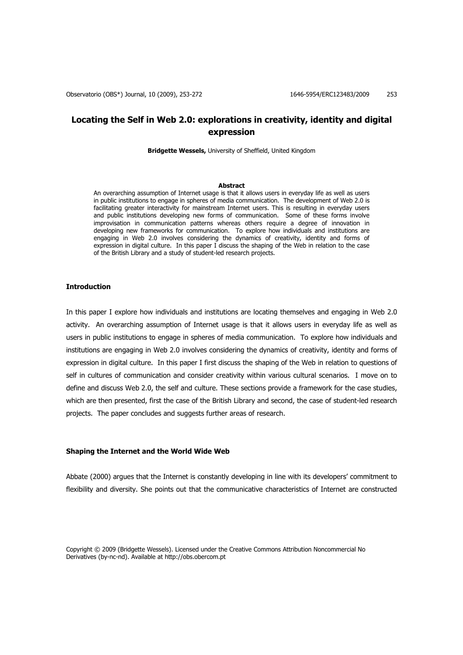# **Locating the Self in Web 2.0: explorations in creativity, identity and digital expression**

**Bridgette Wessels,** University of Sheffield, United Kingdom

### **Abstract**

An overarching assumption of Internet usage is that it allows users in everyday life as well as users in public institutions to engage in spheres of media communication. The development of Web 2.0 is facilitating greater interactivity for mainstream Internet users. This is resulting in everyday users and public institutions developing new forms of communication. Some of these forms involve improvisation in communication patterns whereas others require a degree of innovation in developing new frameworks for communication. To explore how individuals and institutions are engaging in Web 2.0 involves considering the dynamics of creativity, identity and forms of expression in digital culture. In this paper I discuss the shaping of the Web in relation to the case of the British Library and a study of student-led research projects.

# **Introduction**

In this paper I explore how individuals and institutions are locating themselves and engaging in Web 2.0 activity. An overarching assumption of Internet usage is that it allows users in everyday life as well as users in public institutions to engage in spheres of media communication. To explore how individuals and institutions are engaging in Web 2.0 involves considering the dynamics of creativity, identity and forms of expression in digital culture. In this paper I first discuss the shaping of the Web in relation to questions of self in cultures of communication and consider creativity within various cultural scenarios. I move on to define and discuss Web 2.0, the self and culture. These sections provide a framework for the case studies, which are then presented, first the case of the British Library and second, the case of student-led research projects. The paper concludes and suggests further areas of research.

### **Shaping the Internet and the World Wide Web**

Abbate (2000) argues that the Internet is constantly developing in line with its developers' commitment to flexibility and diversity. She points out that the communicative characteristics of Internet are constructed

Copyright © 2009 (Bridgette Wessels). Licensed under the Creative Commons Attribution Noncommercial No Derivatives (by-nc-nd). Available at http://obs.obercom.pt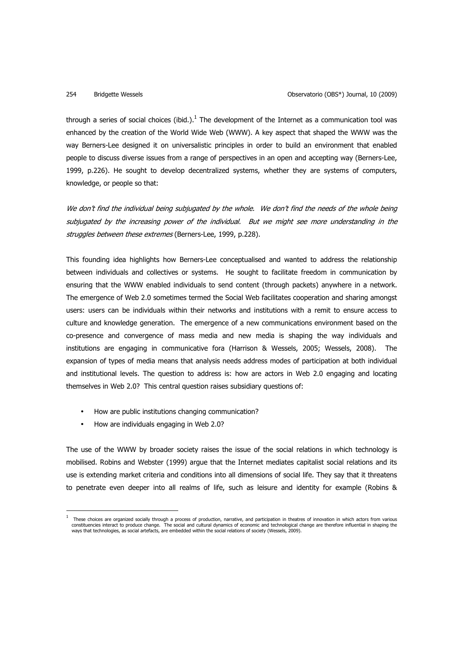through a series of social choices (ibid.). $^1$  The development of the Internet as a communication tool was enhanced by the creation of the World Wide Web (WWW). A key aspect that shaped the WWW was the way Berners-Lee designed it on universalistic principles in order to build an environment that enabled people to discuss diverse issues from a range of perspectives in an open and accepting way (Berners-Lee, 1999, p.226). He sought to develop decentralized systems, whether they are systems of computers, knowledge, or people so that:

We don't find the individual being subjugated by the whole. We don't find the needs of the whole being subjugated by the increasing power of the individual. But we might see more understanding in the struggles between these extremes (Berners-Lee, 1999, p.228).

This founding idea highlights how Berners-Lee conceptualised and wanted to address the relationship between individuals and collectives or systems. He sought to facilitate freedom in communication by ensuring that the WWW enabled individuals to send content (through packets) anywhere in a network. The emergence of Web 2.0 sometimes termed the Social Web facilitates cooperation and sharing amongst users: users can be individuals within their networks and institutions with a remit to ensure access to culture and knowledge generation. The emergence of a new communications environment based on the co-presence and convergence of mass media and new media is shaping the way individuals and institutions are engaging in communicative fora (Harrison & Wessels, 2005; Wessels, 2008). The expansion of types of media means that analysis needs address modes of participation at both individual and institutional levels. The question to address is: how are actors in Web 2.0 engaging and locating themselves in Web 2.0? This central question raises subsidiary questions of:

- How are public institutions changing communication?
- How are individuals engaging in Web 2.0?

l

The use of the WWW by broader society raises the issue of the social relations in which technology is mobilised. Robins and Webster (1999) argue that the Internet mediates capitalist social relations and its use is extending market criteria and conditions into all dimensions of social life. They say that it threatens to penetrate even deeper into all realms of life, such as leisure and identity for example (Robins &

<sup>1</sup> These choices are organized socially through a process of production, narrative, and participation in theatres of innovation in which actors from various constituencies interact to produce change. The social and cultural dynamics of economic and technological change are therefore influential in shaping the<br>ways that technologies, as social artefacts, are embedded within th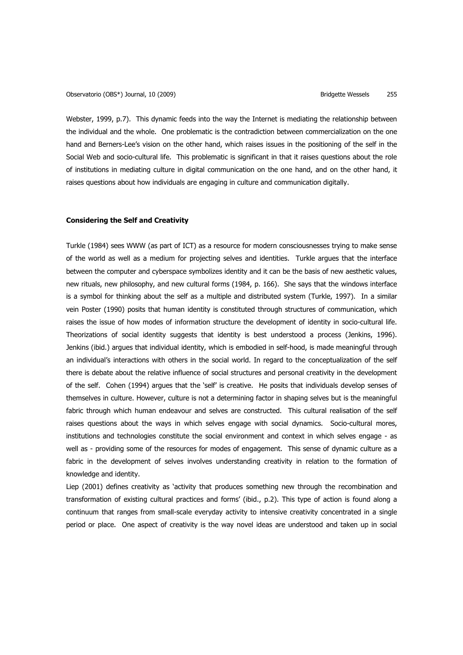Webster, 1999, p.7). This dynamic feeds into the way the Internet is mediating the relationship between the individual and the whole. One problematic is the contradiction between commercialization on the one hand and Berners-Lee's vision on the other hand, which raises issues in the positioning of the self in the Social Web and socio-cultural life. This problematic is significant in that it raises questions about the role of institutions in mediating culture in digital communication on the one hand, and on the other hand, it raises questions about how individuals are engaging in culture and communication digitally.

### **Considering the Self and Creativity**

Turkle (1984) sees WWW (as part of ICT) as a resource for modern consciousnesses trying to make sense of the world as well as a medium for projecting selves and identities. Turkle argues that the interface between the computer and cyberspace symbolizes identity and it can be the basis of new aesthetic values, new rituals, new philosophy, and new cultural forms (1984, p. 166). She says that the windows interface is a symbol for thinking about the self as a multiple and distributed system (Turkle, 1997). In a similar vein Poster (1990) posits that human identity is constituted through structures of communication, which raises the issue of how modes of information structure the development of identity in socio-cultural life. Theorizations of social identity suggests that identity is best understood a process (Jenkins, 1996). Jenkins (ibid.) argues that individual identity, which is embodied in self-hood, is made meaningful through an individual's interactions with others in the social world. In regard to the conceptualization of the self there is debate about the relative influence of social structures and personal creativity in the development of the self. Cohen (1994) argues that the 'self' is creative. He posits that individuals develop senses of themselves in culture. However, culture is not a determining factor in shaping selves but is the meaningful fabric through which human endeavour and selves are constructed. This cultural realisation of the self raises questions about the ways in which selves engage with social dynamics. Socio-cultural mores, institutions and technologies constitute the social environment and context in which selves engage - as well as - providing some of the resources for modes of engagement. This sense of dynamic culture as a fabric in the development of selves involves understanding creativity in relation to the formation of knowledge and identity.

Liep (2001) defines creativity as 'activity that produces something new through the recombination and transformation of existing cultural practices and forms' (ibid., p.2). This type of action is found along a continuum that ranges from small-scale everyday activity to intensive creativity concentrated in a single period or place. One aspect of creativity is the way novel ideas are understood and taken up in social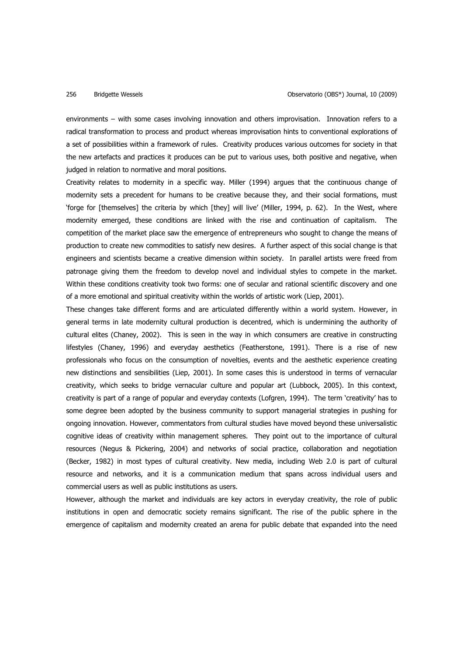environments – with some cases involving innovation and others improvisation. Innovation refers to a radical transformation to process and product whereas improvisation hints to conventional explorations of a set of possibilities within a framework of rules. Creativity produces various outcomes for society in that the new artefacts and practices it produces can be put to various uses, both positive and negative, when judged in relation to normative and moral positions.

Creativity relates to modernity in a specific way. Miller (1994) argues that the continuous change of modernity sets a precedent for humans to be creative because they, and their social formations, must 'forge for [themselves] the criteria by which [they] will live' (Miller, 1994, p. 62). In the West, where modernity emerged, these conditions are linked with the rise and continuation of capitalism. The competition of the market place saw the emergence of entrepreneurs who sought to change the means of production to create new commodities to satisfy new desires. A further aspect of this social change is that engineers and scientists became a creative dimension within society. In parallel artists were freed from patronage giving them the freedom to develop novel and individual styles to compete in the market. Within these conditions creativity took two forms: one of secular and rational scientific discovery and one of a more emotional and spiritual creativity within the worlds of artistic work (Liep, 2001).

These changes take different forms and are articulated differently within a world system. However, in general terms in late modernity cultural production is decentred, which is undermining the authority of cultural elites (Chaney, 2002). This is seen in the way in which consumers are creative in constructing lifestyles (Chaney, 1996) and everyday aesthetics (Featherstone, 1991). There is a rise of new professionals who focus on the consumption of novelties, events and the aesthetic experience creating new distinctions and sensibilities (Liep, 2001). In some cases this is understood in terms of vernacular creativity, which seeks to bridge vernacular culture and popular art (Lubbock, 2005). In this context, creativity is part of a range of popular and everyday contexts (Lofgren, 1994). The term 'creativity' has to some degree been adopted by the business community to support managerial strategies in pushing for ongoing innovation. However, commentators from cultural studies have moved beyond these universalistic cognitive ideas of creativity within management spheres. They point out to the importance of cultural resources (Negus & Pickering, 2004) and networks of social practice, collaboration and negotiation (Becker, 1982) in most types of cultural creativity. New media, including Web 2.0 is part of cultural resource and networks, and it is a communication medium that spans across individual users and commercial users as well as public institutions as users.

However, although the market and individuals are key actors in everyday creativity, the role of public institutions in open and democratic society remains significant. The rise of the public sphere in the emergence of capitalism and modernity created an arena for public debate that expanded into the need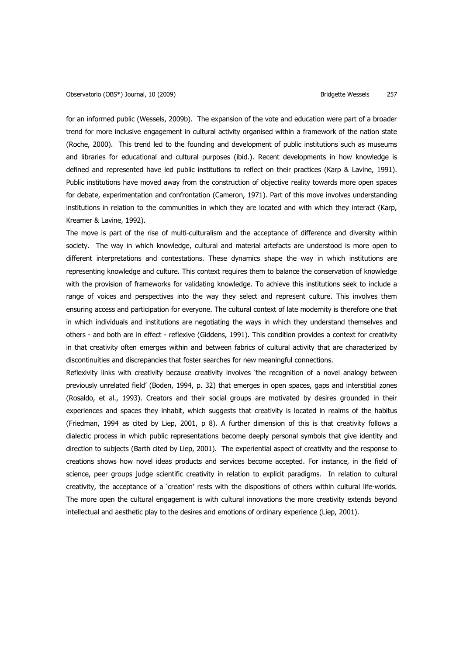for an informed public (Wessels, 2009b). The expansion of the vote and education were part of a broader trend for more inclusive engagement in cultural activity organised within a framework of the nation state (Roche, 2000). This trend led to the founding and development of public institutions such as museums and libraries for educational and cultural purposes (ibid.). Recent developments in how knowledge is defined and represented have led public institutions to reflect on their practices (Karp & Lavine, 1991). Public institutions have moved away from the construction of objective reality towards more open spaces for debate, experimentation and confrontation (Cameron, 1971). Part of this move involves understanding institutions in relation to the communities in which they are located and with which they interact (Karp, Kreamer & Lavine, 1992).

The move is part of the rise of multi-culturalism and the acceptance of difference and diversity within society. The way in which knowledge, cultural and material artefacts are understood is more open to different interpretations and contestations. These dynamics shape the way in which institutions are representing knowledge and culture. This context requires them to balance the conservation of knowledge with the provision of frameworks for validating knowledge. To achieve this institutions seek to include a range of voices and perspectives into the way they select and represent culture. This involves them ensuring access and participation for everyone. The cultural context of late modernity is therefore one that in which individuals and institutions are negotiating the ways in which they understand themselves and others - and both are in effect - reflexive (Giddens, 1991). This condition provides a context for creativity in that creativity often emerges within and between fabrics of cultural activity that are characterized by discontinuities and discrepancies that foster searches for new meaningful connections.

Reflexivity links with creativity because creativity involves 'the recognition of a novel analogy between previously unrelated field' (Boden, 1994, p. 32) that emerges in open spaces, gaps and interstitial zones (Rosaldo, et al., 1993). Creators and their social groups are motivated by desires grounded in their experiences and spaces they inhabit, which suggests that creativity is located in realms of the habitus (Friedman, 1994 as cited by Liep, 2001, p 8). A further dimension of this is that creativity follows a dialectic process in which public representations become deeply personal symbols that give identity and direction to subjects (Barth cited by Liep, 2001). The experiential aspect of creativity and the response to creations shows how novel ideas products and services become accepted. For instance, in the field of science, peer groups judge scientific creativity in relation to explicit paradigms. In relation to cultural creativity, the acceptance of a 'creation' rests with the dispositions of others within cultural life-worlds. The more open the cultural engagement is with cultural innovations the more creativity extends beyond intellectual and aesthetic play to the desires and emotions of ordinary experience (Liep, 2001).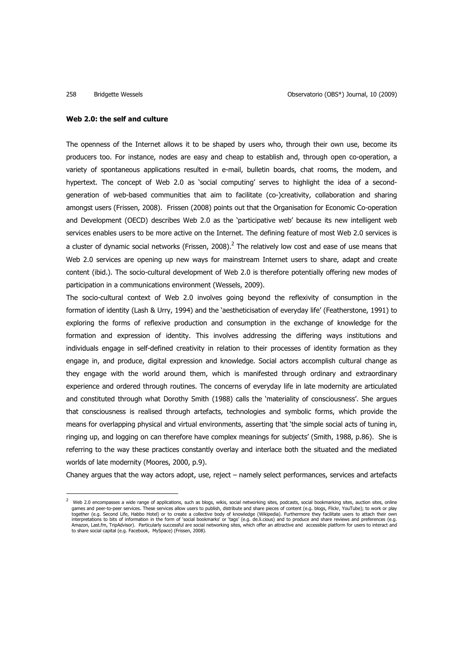l

### **Web 2.0: the self and culture**

The openness of the Internet allows it to be shaped by users who, through their own use, become its producers too. For instance, nodes are easy and cheap to establish and, through open co-operation, a variety of spontaneous applications resulted in e-mail, bulletin boards, chat rooms, the modem, and hypertext. The concept of Web 2.0 as 'social computing' serves to highlight the idea of a secondgeneration of web-based communities that aim to facilitate (co-)creativity, collaboration and sharing amongst users (Frissen, 2008). Frissen (2008) points out that the Organisation for Economic Co-operation and Development (OECD) describes Web 2.0 as the 'participative web' because its new intelligent web services enables users to be more active on the Internet. The defining feature of most Web 2.0 services is a cluster of dynamic social networks (Frissen, 2008).<sup>2</sup> The relatively low cost and ease of use means that Web 2.0 services are opening up new ways for mainstream Internet users to share, adapt and create content (ibid.). The socio-cultural development of Web 2.0 is therefore potentially offering new modes of participation in a communications environment (Wessels, 2009).

The socio-cultural context of Web 2.0 involves going beyond the reflexivity of consumption in the formation of identity (Lash & Urry, 1994) and the 'aestheticisation of everyday life' (Featherstone, 1991) to exploring the forms of reflexive production and consumption in the exchange of knowledge for the formation and expression of identity. This involves addressing the differing ways institutions and individuals engage in self-defined creativity in relation to their processes of identity formation as they engage in, and produce, digital expression and knowledge. Social actors accomplish cultural change as they engage with the world around them, which is manifested through ordinary and extraordinary experience and ordered through routines. The concerns of everyday life in late modernity are articulated and constituted through what Dorothy Smith (1988) calls the 'materiality of consciousness'. She argues that consciousness is realised through artefacts, technologies and symbolic forms, which provide the means for overlapping physical and virtual environments, asserting that 'the simple social acts of tuning in, ringing up, and logging on can therefore have complex meanings for subjects' (Smith, 1988, p.86). She is referring to the way these practices constantly overlay and interlace both the situated and the mediated worlds of late modernity (Moores, 2000, p.9).

Chaney argues that the way actors adopt, use, reject – namely select performances, services and artefacts

 $^2$  Web 2.0 encompasses a wide range of applications, such as blogs, wikis, social networking sites, podcasts, social bookmarking sites, auction sites, online games and peer-to-peer services. These services allow users to publish, distribute and share pieces of content (e.g. blogs, Flickr, YouTube); to work or play together (e.g. Second Life, Habbo Hotel) or to create a collective body of knowledge (Wikipedia). Furthermore they facilitate users to attach their own<br>interpretations to bits of information in the form of `social bookmark Amazon, Last.fm, TripAdvisor). Particularly successful are social networking sites, which offer an attractive and accessible platform for users to interact and<br>to share social capital (e.g. Facebook, MySpace) (Frissen,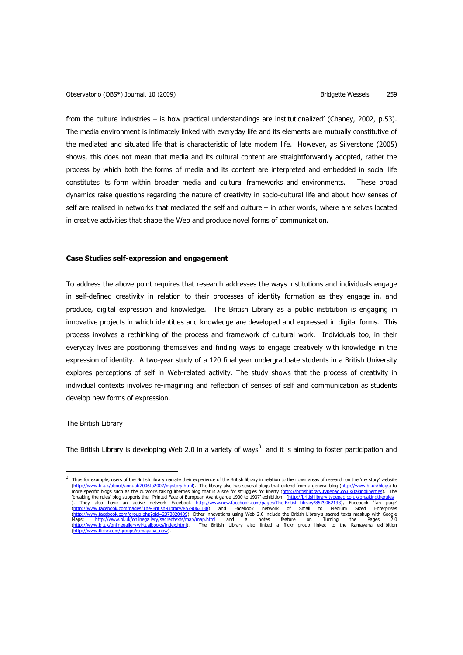from the culture industries – is how practical understandings are institutionalized' (Chaney, 2002, p.53). The media environment is intimately linked with everyday life and its elements are mutually constitutive of the mediated and situated life that is characteristic of late modern life. However, as Silverstone (2005) shows, this does not mean that media and its cultural content are straightforwardly adopted, rather the process by which both the forms of media and its content are interpreted and embedded in social life constitutes its form within broader media and cultural frameworks and environments. These broad dynamics raise questions regarding the nature of creativity in socio-cultural life and about how senses of self are realised in networks that mediated the self and culture – in other words, where are selves located in creative activities that shape the Web and produce novel forms of communication.

# **Case Studies self-expression and engagement**

To address the above point requires that research addresses the ways institutions and individuals engage in self-defined creativity in relation to their processes of identity formation as they engage in, and produce, digital expression and knowledge. The British Library as a public institution is engaging in innovative projects in which identities and knowledge are developed and expressed in digital forms. This process involves a rethinking of the process and framework of cultural work. Individuals too, in their everyday lives are positioning themselves and finding ways to engage creatively with knowledge in the expression of identity. A two-year study of a 120 final year undergraduate students in a British University explores perceptions of self in Web-related activity. The study shows that the process of creativity in individual contexts involves re-imagining and reflection of senses of self and communication as students develop new forms of expression.

The British Library

 $\overline{a}$ 

The British Library is developing Web 2.0 in a variety of ways<sup>3</sup> and it is aiming to foster participation and

 $^3$  Thus for example, users of the British library narrate their experience of the British library in relation to their own areas of research on the 'my story' website (<u>http://www.bl.uk/about/annual/2006to2007/mystory.html</u>). The library also has several blogs that extend from a general blog (<u>http://www.bl.uk/blogs)</u> to<br>more specific blogs such as the curator's taking liberties blog th 'breaking the rules' blog supports the: 'Printed Face of European Avant-garde 1900 to 1937' exhibition (http://britishlibrary.typepad.co.uk/breakingth ). They also have an active network Facebook <u>http://www.new.facebook.com/pages/The-British-Library/8579062138</u>), Facebook 'fan page'<br><u>(http://www.facebook.com/pages/The-British-Library/8579062138</u>) and Facebook network of (<u>http://www.facebook.com/group.php?gid=2373820409</u>). Other innovations using Web 2.0 include the British Library's sacred texts mashup with Google<br>Maps: http://www.bl.uk/onlinegallery/sacredtexts/map/map.html and a notes (http://www.bl.uk/onlinegallery/virtualbooks/index.html). The British Library also linked a flickr group linked to the Ramayana exhibition (http://www.flickr.com/groups/ramayana\_now).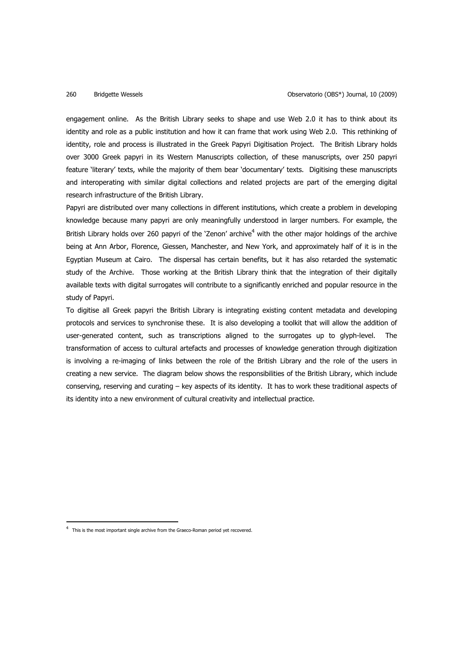### 260 Bridgette Wessels Observatorio (OBS\*) Journal, 10 (2009)

engagement online. As the British Library seeks to shape and use Web 2.0 it has to think about its identity and role as a public institution and how it can frame that work using Web 2.0. This rethinking of identity, role and process is illustrated in the Greek Papyri Digitisation Project. The British Library holds over 3000 Greek papyri in its Western Manuscripts collection, of these manuscripts, over 250 papyri feature 'literary' texts, while the majority of them bear 'documentary' texts. Digitising these manuscripts and interoperating with similar digital collections and related projects are part of the emerging digital research infrastructure of the British Library.

Papyri are distributed over many collections in different institutions, which create a problem in developing knowledge because many papyri are only meaningfully understood in larger numbers. For example, the British Library holds over 260 papyri of the 'Zenon' archive<sup>4</sup> with the other major holdings of the archive being at Ann Arbor, Florence, Giessen, Manchester, and New York, and approximately half of it is in the Egyptian Museum at Cairo. The dispersal has certain benefits, but it has also retarded the systematic study of the Archive. Those working at the British Library think that the integration of their digitally available texts with digital surrogates will contribute to a significantly enriched and popular resource in the study of Papyri.

To digitise all Greek papyri the British Library is integrating existing content metadata and developing protocols and services to synchronise these. It is also developing a toolkit that will allow the addition of user-generated content, such as transcriptions aligned to the surrogates up to glyph-level. The transformation of access to cultural artefacts and processes of knowledge generation through digitization is involving a re-imaging of links between the role of the British Library and the role of the users in creating a new service. The diagram below shows the responsibilities of the British Library, which include conserving, reserving and curating – key aspects of its identity. It has to work these traditional aspects of its identity into a new environment of cultural creativity and intellectual practice.

 $\overline{a}$ 

<sup>&</sup>lt;sup>4</sup> This is the most important single archive from the Graeco-Roman period yet recovered.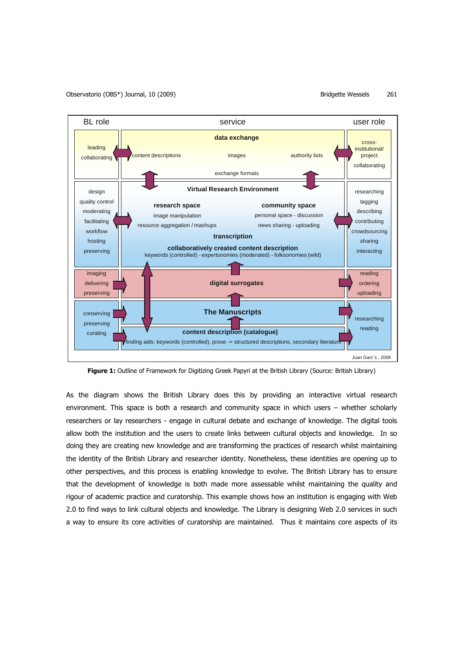

**Figure 1:** Outline of Framework for Digitizing Greek Papyri at the British Library (Source: British Library)

As the diagram shows the British Library does this by providing an interactive virtual research environment. This space is both a research and community space in which users – whether scholarly researchers or lay researchers - engage in cultural debate and exchange of knowledge. The digital tools allow both the institution and the users to create links between cultural objects and knowledge. In so doing they are creating new knowledge and are transforming the practices of research whilst maintaining the identity of the British Library and researcher identity. Nonetheless, these identities are opening up to other perspectives, and this process is enabling knowledge to evolve. The British Library has to ensure that the development of knowledge is both made more assessable whilst maintaining the quality and rigour of academic practice and curatorship. This example shows how an institution is engaging with Web 2.0 to find ways to link cultural objects and knowledge. The Library is designing Web 2.0 services in such a way to ensure its core activities of curatorship are maintained. Thus it maintains core aspects of its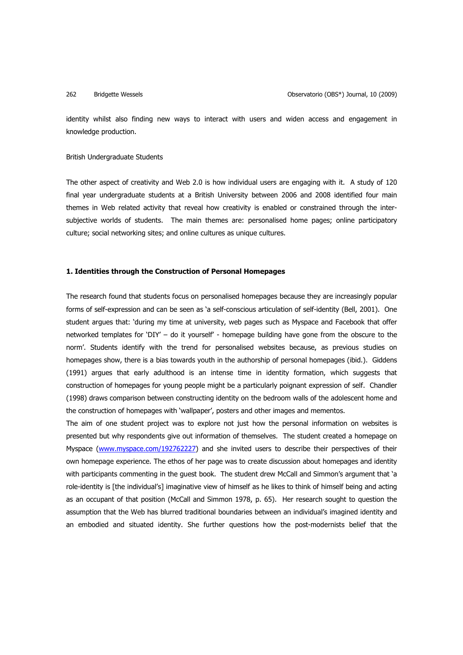identity whilst also finding new ways to interact with users and widen access and engagement in knowledge production.

# British Undergraduate Students

The other aspect of creativity and Web 2.0 is how individual users are engaging with it. A study of 120 final year undergraduate students at a British University between 2006 and 2008 identified four main themes in Web related activity that reveal how creativity is enabled or constrained through the intersubjective worlds of students. The main themes are: personalised home pages; online participatory culture; social networking sites; and online cultures as unique cultures.

# **1. Identities through the Construction of Personal Homepages**

The research found that students focus on personalised homepages because they are increasingly popular forms of self-expression and can be seen as 'a self-conscious articulation of self-identity (Bell, 2001). One student argues that: 'during my time at university, web pages such as Myspace and Facebook that offer networked templates for 'DIY' – do it yourself' - homepage building have gone from the obscure to the norm'. Students identify with the trend for personalised websites because, as previous studies on homepages show, there is a bias towards youth in the authorship of personal homepages (ibid.). Giddens (1991) argues that early adulthood is an intense time in identity formation, which suggests that construction of homepages for young people might be a particularly poignant expression of self. Chandler (1998) draws comparison between constructing identity on the bedroom walls of the adolescent home and the construction of homepages with 'wallpaper', posters and other images and mementos.

The aim of one student project was to explore not just how the personal information on websites is presented but why respondents give out information of themselves. The student created a homepage on Myspace (www.myspace.com/192762227) and she invited users to describe their perspectives of their own homepage experience. The ethos of her page was to create discussion about homepages and identity with participants commenting in the quest book. The student drew McCall and Simmon's argument that 'a role-identity is [the individual's] imaginative view of himself as he likes to think of himself being and acting as an occupant of that position (McCall and Simmon 1978, p. 65). Her research sought to question the assumption that the Web has blurred traditional boundaries between an individual's imagined identity and an embodied and situated identity. She further questions how the post-modernists belief that the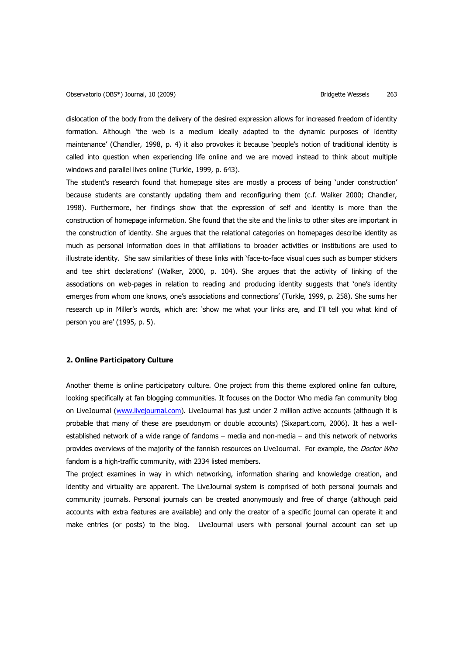dislocation of the body from the delivery of the desired expression allows for increased freedom of identity formation. Although 'the web is a medium ideally adapted to the dynamic purposes of identity maintenance' (Chandler, 1998, p. 4) it also provokes it because 'people's notion of traditional identity is called into question when experiencing life online and we are moved instead to think about multiple windows and parallel lives online (Turkle, 1999, p. 643).

The student's research found that homepage sites are mostly a process of being 'under construction' because students are constantly updating them and reconfiguring them (c.f. Walker 2000; Chandler, 1998). Furthermore, her findings show that the expression of self and identity is more than the construction of homepage information. She found that the site and the links to other sites are important in the construction of identity. She argues that the relational categories on homepages describe identity as much as personal information does in that affiliations to broader activities or institutions are used to illustrate identity. She saw similarities of these links with 'face-to-face visual cues such as bumper stickers and tee shirt declarations' (Walker, 2000, p. 104). She argues that the activity of linking of the associations on web-pages in relation to reading and producing identity suggests that 'one's identity emerges from whom one knows, one's associations and connections' (Turkle, 1999, p. 258). She sums her research up in Miller's words, which are: 'show me what your links are, and I'll tell you what kind of person you are' (1995, p. 5).

### **2. Online Participatory Culture**

Another theme is online participatory culture. One project from this theme explored online fan culture, looking specifically at fan blogging communities. It focuses on the Doctor Who media fan community blog on LiveJournal (www.livejournal.com). LiveJournal has just under 2 million active accounts (although it is probable that many of these are pseudonym or double accounts) (Sixapart.com, 2006). It has a wellestablished network of a wide range of fandoms – media and non-media – and this network of networks provides overviews of the majority of the fannish resources on LiveJournal. For example, the Doctor Who fandom is a high-traffic community, with 2334 listed members.

The project examines in way in which networking, information sharing and knowledge creation, and identity and virtuality are apparent. The LiveJournal system is comprised of both personal journals and community journals. Personal journals can be created anonymously and free of charge (although paid accounts with extra features are available) and only the creator of a specific journal can operate it and make entries (or posts) to the blog. LiveJournal users with personal journal account can set up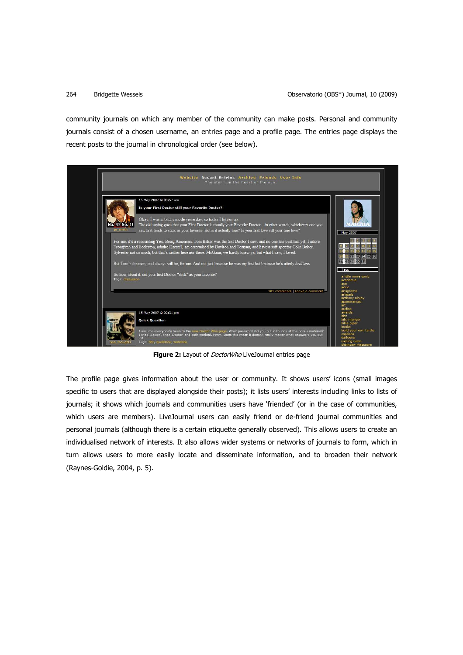community journals on which any member of the community can make posts. Personal and community journals consist of a chosen username, an entries page and a profile page. The entries page displays the recent posts to the journal in chronological order (see below).

|                                          | Website Recent Entries Archive Friends User Info<br>The storm in the heart of the sun.                                                                                                                                                                                                                                                                                                                                                                                                                                                                                                                                                                                                                                                                                                                                                                                                                                                                                                |                                                                                                                                |
|------------------------------------------|---------------------------------------------------------------------------------------------------------------------------------------------------------------------------------------------------------------------------------------------------------------------------------------------------------------------------------------------------------------------------------------------------------------------------------------------------------------------------------------------------------------------------------------------------------------------------------------------------------------------------------------------------------------------------------------------------------------------------------------------------------------------------------------------------------------------------------------------------------------------------------------------------------------------------------------------------------------------------------------|--------------------------------------------------------------------------------------------------------------------------------|
| 47 No. 1<br>je smiti<br>Tags: discussion | 15 May 2007 @ 09:57 am<br>Is your First Doctor still your Favorite Doctor?<br>Okay. I was in bitchy mode yesterday, so today I lighten up.<br>The old saying goes that your First Doctor is usually your Favorite Doctor - in other words, whichever one you<br>saw first tends to stick as your favorite. But is it actually true? Is your first love still your true love?<br>For me, it's a resounding Yes. Being American. Tom Baker was the first Doctor I saw, and no one has beat him yet. I adore<br>Troughten and Eccleston, admire Harntell, am entertained by Davison and Tennant, and have a soft spot for Colin Baker.<br>Sylvester not so much, but that's neither here nor there. McGann, we hardly knew ya, but what I saw, I loved.<br>But Tom's the man, and always will be, for me. And not just because he was my first but because he's utterly brilliant.<br>So how about it: did your first Doctor "stick" as your favorite?<br>101 comments   Leave a comment | May 2007<br>22 23 24 25 26<br>27 28 29 30 31<br>Tags<br>a little more sonic<br>academia<br>ace<br>adric<br>anagrams<br>annuals |
|                                          | 15 May 2007 @ 02:31 pm<br><b>Quick Question</b>                                                                                                                                                                                                                                                                                                                                                                                                                                                                                                                                                                                                                                                                                                                                                                                                                                                                                                                                       | anthony ainley<br>appearances<br>art<br>audios<br>awards<br>bbc<br>bilis manger<br>billie piper                                |
|                                          | I assume everyone's been to the new Doctor Who page. What password did you put in to look at the bonus material?<br>I tried 'Saxon', then 'Doctor' and both worked. Hmm. Does this mean it doesn't really matter what password you put<br>in 2<br>Tags: bbc, questions, websites                                                                                                                                                                                                                                                                                                                                                                                                                                                                                                                                                                                                                                                                                                      | <b>hnoks</b><br>build your own tardis<br>captions<br>cartoons<br>casting news<br>chainsaw massacre                             |

Figure 2: Layout of *DoctorWho* LiveJournal entries page

The profile page gives information about the user or community. It shows users' icons (small images specific to users that are displayed alongside their posts); it lists users' interests including links to lists of journals; it shows which journals and communities users have 'friended' (or in the case of communities, which users are members). LiveJournal users can easily friend or de-friend journal communities and personal journals (although there is a certain etiquette generally observed). This allows users to create an individualised network of interests. It also allows wider systems or networks of journals to form, which in turn allows users to more easily locate and disseminate information, and to broaden their network (Raynes-Goldie, 2004, p. 5).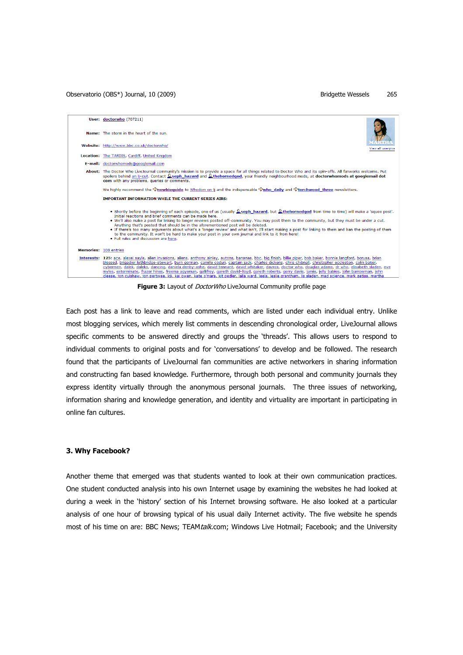Observatorio (OBS\*) Journal, 10 (2009) **Bridgette Wessels** 265



Figure 3: Layout of *DoctorWho* LiveJournal Community profile page

Each post has a link to leave and read comments, which are listed under each individual entry. Unlike most blogging services, which merely list comments in descending chronological order, LiveJournal allows specific comments to be answered directly and groups the 'threads'. This allows users to respond to individual comments to original posts and for 'conversations' to develop and be followed. The research found that the participants of LiveJournal fan communities are active networkers in sharing information and constructing fan based knowledge. Furthermore, through both personal and community journals they express identity virtually through the anonymous personal journals. The three issues of networking, information sharing and knowledge generation, and identity and virtuality are important in participating in online fan cultures.

# **3. Why Facebook?**

Another theme that emerged was that students wanted to look at their own communication practices. One student conducted analysis into his own Internet usage by examining the websites he had looked at during a week in the 'history' section of his Internet browsing software. He also looked at a particular analysis of one hour of browsing typical of his usual daily Internet activity. The five website he spends most of his time on are: BBC News: TEAMtalk.com: Windows Live Hotmail: Facebook: and the University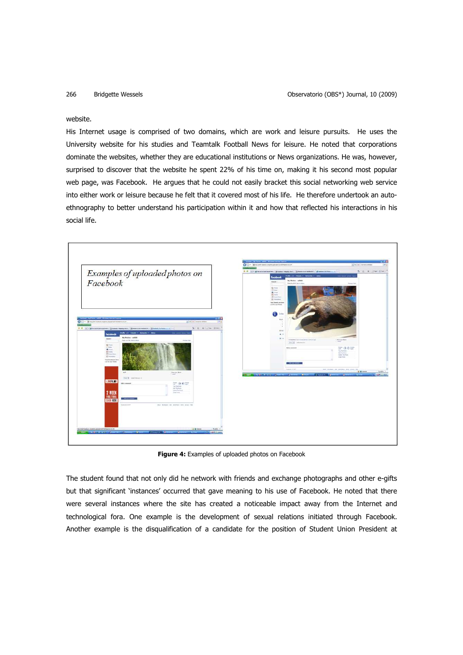### website.

His Internet usage is comprised of two domains, which are work and leisure pursuits. He uses the University website for his studies and Teamtalk Football News for leisure. He noted that corporations dominate the websites, whether they are educational institutions or News organizations. He was, however, surprised to discover that the website he spent 22% of his time on, making it his second most popular web page, was Facebook. He argues that he could not easily bracket this social networking web service into either work or leisure because he felt that it covered most of his life. He therefore undertook an autoethnography to better understand his participation within it and how that reflected his interactions in his social life.



**Figure 4:** Examples of uploaded photos on Facebook

The student found that not only did he network with friends and exchange photographs and other e-gifts but that significant 'instances' occurred that gave meaning to his use of Facebook. He noted that there were several instances where the site has created a noticeable impact away from the Internet and technological fora. One example is the development of sexual relations initiated through Facebook. Another example is the disqualification of a candidate for the position of Student Union President at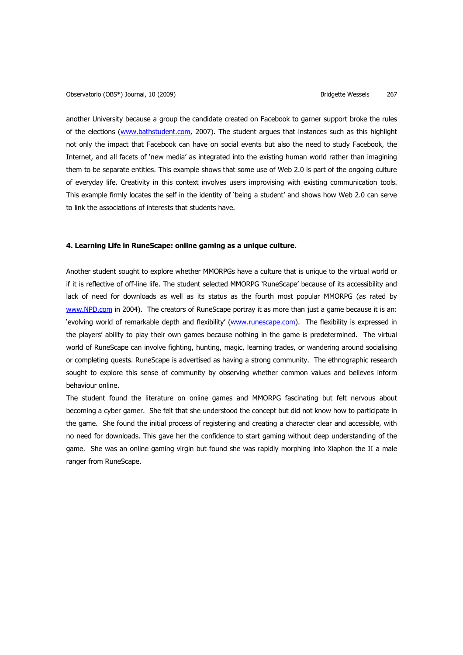another University because a group the candidate created on Facebook to garner support broke the rules of the elections (www.bathstudent.com, 2007). The student argues that instances such as this highlight not only the impact that Facebook can have on social events but also the need to study Facebook, the Internet, and all facets of 'new media' as integrated into the existing human world rather than imagining them to be separate entities. This example shows that some use of Web 2.0 is part of the ongoing culture of everyday life. Creativity in this context involves users improvising with existing communication tools. This example firmly locates the self in the identity of 'being a student' and shows how Web 2.0 can serve to link the associations of interests that students have.

### **4. Learning Life in RuneScape: online gaming as a unique culture.**

Another student sought to explore whether MMORPGs have a culture that is unique to the virtual world or if it is reflective of off-line life. The student selected MMORPG 'RuneScape' because of its accessibility and lack of need for downloads as well as its status as the fourth most popular MMORPG (as rated by www.NPD.com in 2004). The creators of RuneScape portray it as more than just a game because it is an: 'evolving world of remarkable depth and flexibility' (www.runescape.com). The flexibility is expressed in the players' ability to play their own games because nothing in the game is predetermined. The virtual world of RuneScape can involve fighting, hunting, magic, learning trades, or wandering around socialising or completing quests. RuneScape is advertised as having a strong community. The ethnographic research sought to explore this sense of community by observing whether common values and believes inform behaviour online.

The student found the literature on online games and MMORPG fascinating but felt nervous about becoming a cyber gamer. She felt that she understood the concept but did not know how to participate in the game. She found the initial process of registering and creating a character clear and accessible, with no need for downloads. This gave her the confidence to start gaming without deep understanding of the game. She was an online gaming virgin but found she was rapidly morphing into Xiaphon the II a male ranger from RuneScape.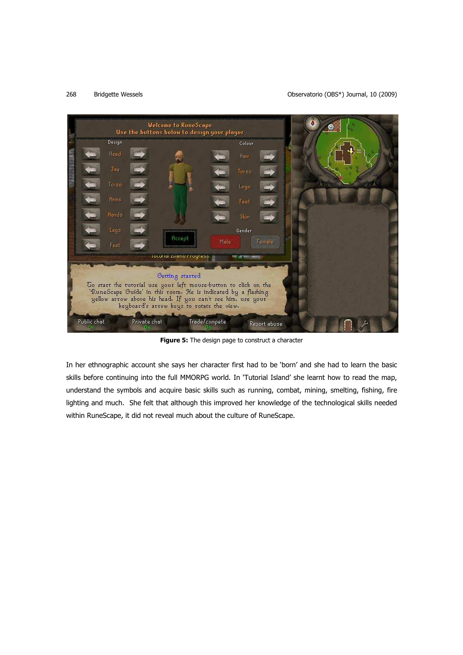# 268 Bridgette Wessels Observatorio (OBS\*) Journal, 10 (2009)



**Figure 5:** The design page to construct a character

In her ethnographic account she says her character first had to be 'born' and she had to learn the basic skills before continuing into the full MMORPG world. In 'Tutorial Island' she learnt how to read the map, understand the symbols and acquire basic skills such as running, combat, mining, smelting, fishing, fire lighting and much. She felt that although this improved her knowledge of the technological skills needed within RuneScape, it did not reveal much about the culture of RuneScape.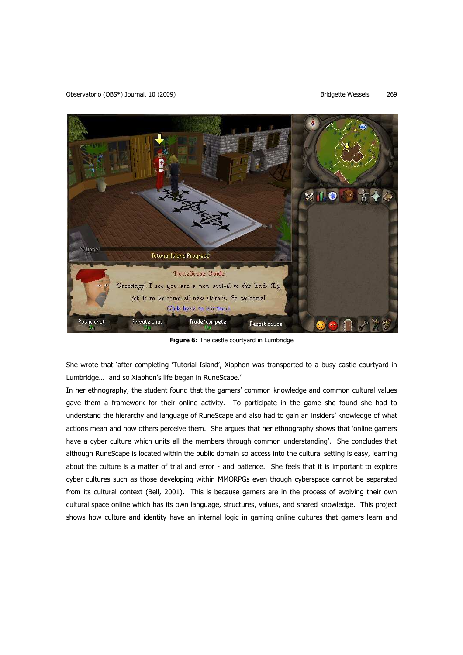Observatorio (OBS\*) Journal, 10 (2009) **Bridgette Wessels** 269



**Figure 6:** The castle courtyard in Lumbridge

She wrote that 'after completing 'Tutorial Island', Xiaphon was transported to a busy castle courtyard in Lumbridge… and so Xiaphon's life began in RuneScape.'

In her ethnography, the student found that the gamers' common knowledge and common cultural values gave them a framework for their online activity. To participate in the game she found she had to understand the hierarchy and language of RuneScape and also had to gain an insiders' knowledge of what actions mean and how others perceive them. She argues that her ethnography shows that 'online gamers have a cyber culture which units all the members through common understanding'. She concludes that although RuneScape is located within the public domain so access into the cultural setting is easy, learning about the culture is a matter of trial and error - and patience. She feels that it is important to explore cyber cultures such as those developing within MMORPGs even though cyberspace cannot be separated from its cultural context (Bell, 2001). This is because gamers are in the process of evolving their own cultural space online which has its own language, structures, values, and shared knowledge. This project shows how culture and identity have an internal logic in gaming online cultures that gamers learn and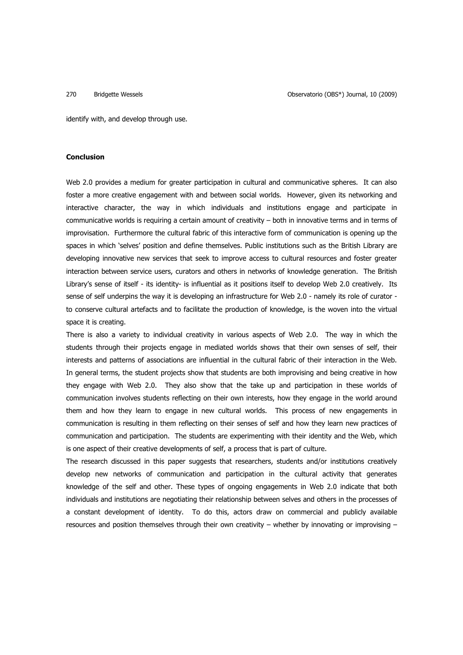identify with, and develop through use.

# **Conclusion**

Web 2.0 provides a medium for greater participation in cultural and communicative spheres. It can also foster a more creative engagement with and between social worlds. However, given its networking and interactive character, the way in which individuals and institutions engage and participate in communicative worlds is requiring a certain amount of creativity – both in innovative terms and in terms of improvisation. Furthermore the cultural fabric of this interactive form of communication is opening up the spaces in which 'selves' position and define themselves. Public institutions such as the British Library are developing innovative new services that seek to improve access to cultural resources and foster greater interaction between service users, curators and others in networks of knowledge generation. The British Library's sense of itself - its identity- is influential as it positions itself to develop Web 2.0 creatively. Its sense of self underpins the way it is developing an infrastructure for Web 2.0 - namely its role of curator to conserve cultural artefacts and to facilitate the production of knowledge, is the woven into the virtual space it is creating.

There is also a variety to individual creativity in various aspects of Web 2.0. The way in which the students through their projects engage in mediated worlds shows that their own senses of self, their interests and patterns of associations are influential in the cultural fabric of their interaction in the Web. In general terms, the student projects show that students are both improvising and being creative in how they engage with Web 2.0. They also show that the take up and participation in these worlds of communication involves students reflecting on their own interests, how they engage in the world around them and how they learn to engage in new cultural worlds. This process of new engagements in communication is resulting in them reflecting on their senses of self and how they learn new practices of communication and participation. The students are experimenting with their identity and the Web, which is one aspect of their creative developments of self, a process that is part of culture.

The research discussed in this paper suggests that researchers, students and/or institutions creatively develop new networks of communication and participation in the cultural activity that generates knowledge of the self and other. These types of ongoing engagements in Web 2.0 indicate that both individuals and institutions are negotiating their relationship between selves and others in the processes of a constant development of identity. To do this, actors draw on commercial and publicly available resources and position themselves through their own creativity – whether by innovating or improvising –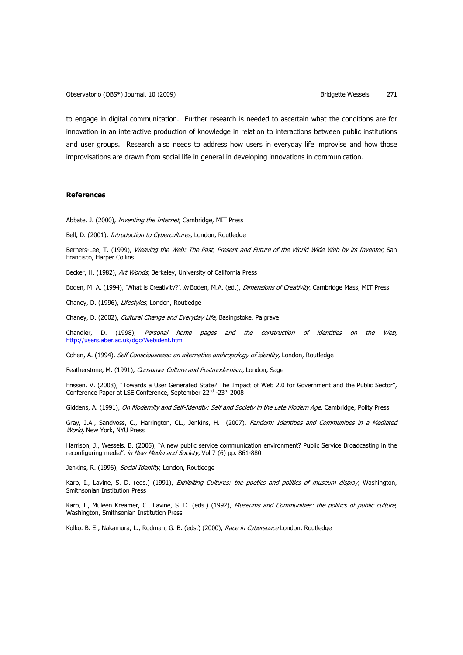Observatorio (OBS\*) Journal, 10 (2009) **Bridgette Wessels** 271

to engage in digital communication. Further research is needed to ascertain what the conditions are for innovation in an interactive production of knowledge in relation to interactions between public institutions and user groups. Research also needs to address how users in everyday life improvise and how those improvisations are drawn from social life in general in developing innovations in communication.

### **References**

Abbate, J. (2000), *Inventing the Internet*, Cambridge, MIT Press

Bell, D. (2001), *Introduction to Cybercultures*, London, Routledge

Berners-Lee, T. (1999), Weaving the Web: The Past, Present and Future of the World Wide Web by its Inventor, San Francisco, Harper Collins

Becker, H. (1982), Art Worlds, Berkeley, University of California Press

Boden, M. A. (1994), 'What is Creativity?', in Boden, M.A. (ed.), Dimensions of Creativity, Cambridge Mass, MIT Press

Chaney, D. (1996), Lifestyles, London, Routledge

Chaney, D. (2002), Cultural Change and Everyday Life, Basingstoke, Palgrave

Chandler, D. (1998), Personal home pages and the construction of identities on the Web, http://users.aber.ac.uk/dgc/Webident.html

Cohen, A. (1994), Self Consciousness: an alternative anthropology of identity, London, Routledge

Featherstone, M. (1991), Consumer Culture and Postmodernism, London, Sage

Frissen, V. (2008), "Towards a User Generated State? The Impact of Web 2.0 for Government and the Public Sector", Conference Paper at LSE Conference, September 22nd -23rd 2008

Giddens, A. (1991), On Modernity and Self-Identity: Self and Society in the Late Modern Age, Cambridge, Polity Press

Gray, J.A., Sandvoss, C., Harrington, CL., Jenkins, H. (2007), Fandom: Identities and Communities in a Mediated World, New York, NYU Press

Harrison, J., Wessels, B. (2005), "A new public service communication environment? Public Service Broadcasting in the reconfiguring media", in New Media and Society, Vol 7 (6) pp. 861-880

Jenkins, R. (1996), Social Identity, London, Routledge

Karp, I., Lavine, S. D. (eds.) (1991), *Exhibiting Cultures: the poetics and politics of museum display*, Washington, Smithsonian Institution Press

Karp, I., Muleen Kreamer, C., Lavine, S. D. (eds.) (1992), Museums and Communities: the politics of public culture, Washington, Smithsonian Institution Press

Kolko. B. E., Nakamura, L., Rodman, G. B. (eds.) (2000), Race in Cyberspace London, Routledge